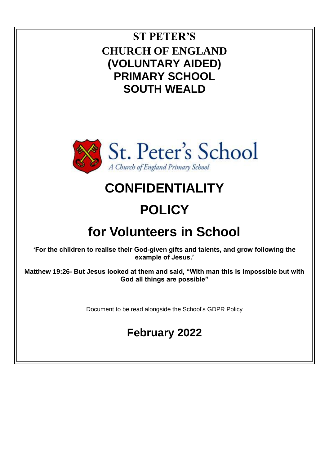### **ST PETER'S CHURCH OF ENGLAND (VOLUNTARY AIDED) PRIMARY SCHOOL SOUTH WEALD**



## **CONFIDENTIALITY**

# **POLICY**

## **for Volunteers in School**

**'For the children to realise their God-given gifts and talents, and grow following the example of Jesus.'**

**Matthew 19:26- But Jesus looked at them and said, "With man this is impossible but with God all things are possible"**

Document to be read alongside the School's GDPR Policy

### **February 2022**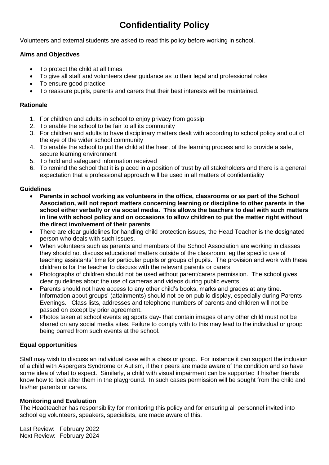### **Confidentiality Policy**

Volunteers and external students are asked to read this policy before working in school.

#### **Aims and Objectives**

- To protect the child at all times
- To give all staff and volunteers clear guidance as to their legal and professional roles
- To ensure good practice
- To reassure pupils, parents and carers that their best interests will be maintained.

#### **Rationale**

- 1. For children and adults in school to enjoy privacy from gossip
- 2. To enable the school to be fair to all its community
- 3. For children and adults to have disciplinary matters dealt with according to school policy and out of the eye of the wider school community
- 4. To enable the school to put the child at the heart of the learning process and to provide a safe, secure learning environment
- 5. To hold and safeguard information received
- 6. To remind the school that it is placed in a position of trust by all stakeholders and there is a general expectation that a professional approach will be used in all matters of confidentiality

#### **Guidelines**

- **Parents in school working as volunteers in the office, classrooms or as part of the School Association, will not report matters concerning learning or discipline to other parents in the school either verbally or via social media. This allows the teachers to deal with such matters in line with school policy and on occasions to allow children to put the matter right without the direct involvement of their parents**
- There are clear guidelines for handling child protection issues, the Head Teacher is the designated person who deals with such issues.
- When volunteers such as parents and members of the School Association are working in classes they should not discuss educational matters outside of the classroom, eg the specific use of teaching assistants' time for particular pupils or groups of pupils. The provision and work with these children is for the teacher to discuss with the relevant parents or carers
- Photographs of children should not be used without parent/carers permission. The school gives clear guidelines about the use of cameras and videos during public events
- Parents should not have access to any other child's books, marks and grades at any time. Information about groups' (attainments) should not be on public display, especially during Parents Evenings. Class lists, addresses and telephone numbers of parents and children will not be passed on except by prior agreement.
- Photos taken at school events eg sports day- that contain images of any other child must not be shared on any social media sites. Failure to comply with to this may lead to the individual or group being barred from such events at the school.

#### **Equal opportunities**

Staff may wish to discuss an individual case with a class or group. For instance it can support the inclusion of a child with Aspergers Syndrome or Autism, if their peers are made aware of the condition and so have some idea of what to expect. Similarly, a child with visual impairment can be supported if his/her friends know how to look after them in the playground. In such cases permission will be sought from the child and his/her parents or carers.

#### **Monitoring and Evaluation**

The Headteacher has responsibility for monitoring this policy and for ensuring all personnel invited into school eg volunteers, speakers, specialists, are made aware of this.

Last Review: February 2022 Next Review: February 2024